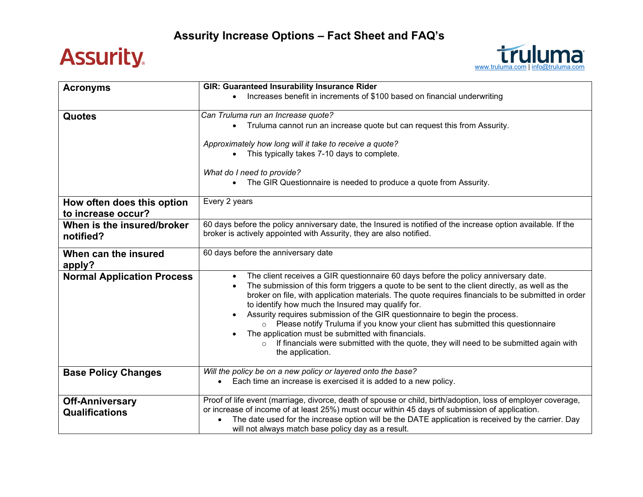## **Assurity.**



| <b>Acronyms</b>                   | <b>GIR: Guaranteed Insurability Insurance Rider</b>                                                                                                     |
|-----------------------------------|---------------------------------------------------------------------------------------------------------------------------------------------------------|
|                                   | Increases benefit in increments of \$100 based on financial underwriting                                                                                |
|                                   |                                                                                                                                                         |
| <b>Quotes</b>                     | Can Truluma run an Increase quote?                                                                                                                      |
|                                   | Truluma cannot run an increase quote but can request this from Assurity.                                                                                |
|                                   | Approximately how long will it take to receive a quote?                                                                                                 |
|                                   | This typically takes 7-10 days to complete.                                                                                                             |
|                                   |                                                                                                                                                         |
|                                   | What do I need to provide?                                                                                                                              |
|                                   | The GIR Questionnaire is needed to produce a quote from Assurity.                                                                                       |
|                                   |                                                                                                                                                         |
| How often does this option        | Every 2 years                                                                                                                                           |
| to increase occur?                |                                                                                                                                                         |
| When is the insured/broker        | 60 days before the policy anniversary date, the Insured is notified of the increase option available. If the                                            |
| notified?                         | broker is actively appointed with Assurity, they are also notified.                                                                                     |
|                                   |                                                                                                                                                         |
| When can the insured              | 60 days before the anniversary date                                                                                                                     |
| apply?                            |                                                                                                                                                         |
| <b>Normal Application Process</b> | The client receives a GIR questionnaire 60 days before the policy anniversary date.<br>$\bullet$                                                        |
|                                   | The submission of this form triggers a quote to be sent to the client directly, as well as the<br>$\bullet$                                             |
|                                   | broker on file, with application materials. The quote requires financials to be submitted in order<br>to identify how much the Insured may qualify for. |
|                                   | Assurity requires submission of the GIR questionnaire to begin the process.<br>$\bullet$                                                                |
|                                   | o Please notify Truluma if you know your client has submitted this questionnaire                                                                        |
|                                   | The application must be submitted with financials.                                                                                                      |
|                                   | If financials were submitted with the quote, they will need to be submitted again with<br>$\circ$                                                       |
|                                   | the application.                                                                                                                                        |
|                                   |                                                                                                                                                         |
| <b>Base Policy Changes</b>        | Will the policy be on a new policy or layered onto the base?<br>Each time an increase is exercised it is added to a new policy.                         |
|                                   | $\bullet$                                                                                                                                               |
| <b>Off-Anniversary</b>            | Proof of life event (marriage, divorce, death of spouse or child, birth/adoption, loss of employer coverage,                                            |
| <b>Qualifications</b>             | or increase of income of at least 25%) must occur within 45 days of submission of application.                                                          |
|                                   | The date used for the increase option will be the DATE application is received by the carrier. Day                                                      |
|                                   | will not always match base policy day as a result.                                                                                                      |